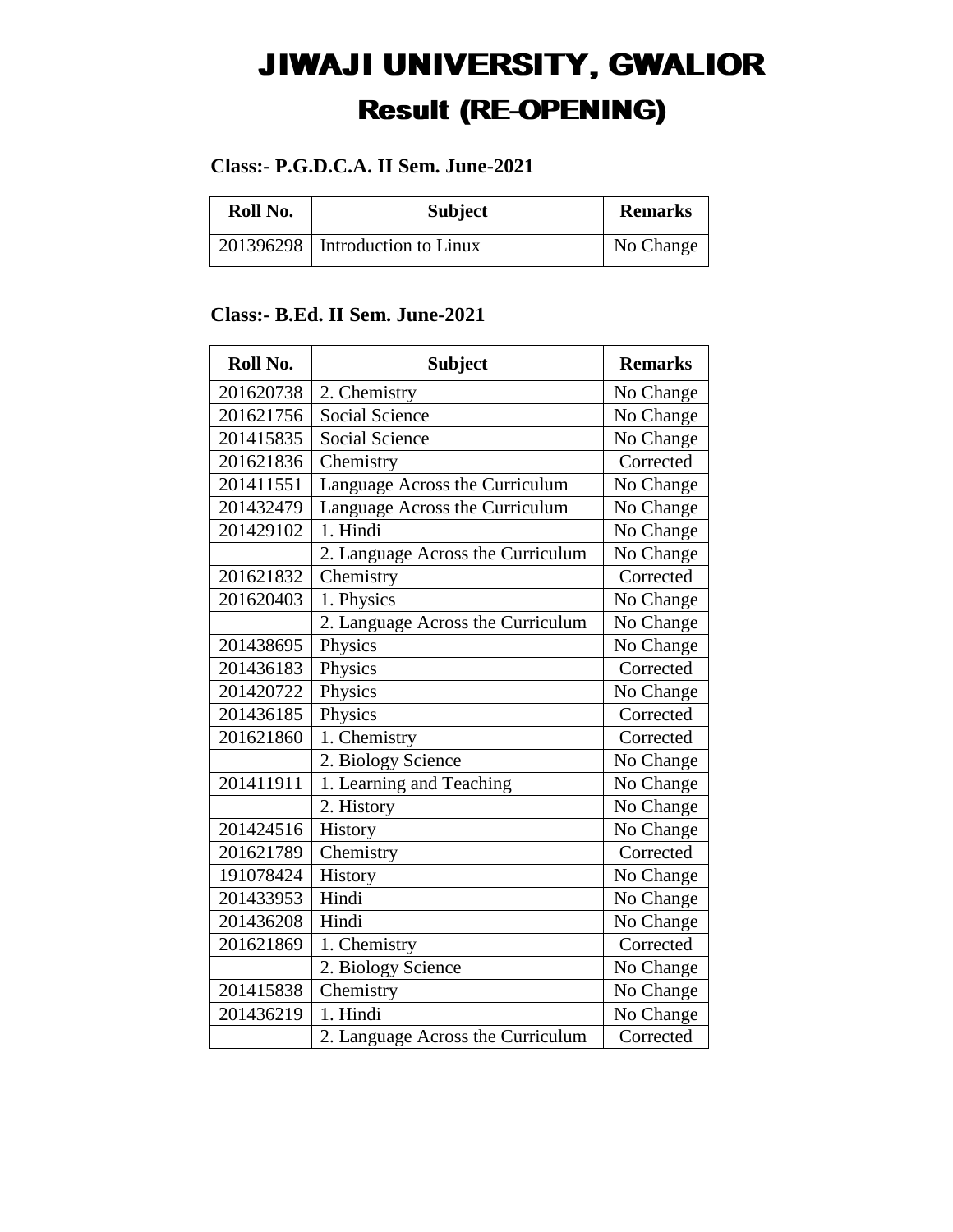## JIWAJI UNIVERSITY, GWALIOR Result (RE-OPENING)

## **Class:- P.G.D.C.A. II Sem. June-2021**

| Roll No. | <b>Subject</b>                    | <b>Remarks</b> |
|----------|-----------------------------------|----------------|
|          | 201396298   Introduction to Linux | No Change      |

## **Class:- B.Ed. II Sem. June-2021**

| Roll No.  | <b>Subject</b>                    | <b>Remarks</b> |
|-----------|-----------------------------------|----------------|
| 201620738 | 2. Chemistry                      | No Change      |
| 201621756 | <b>Social Science</b>             | No Change      |
| 201415835 | <b>Social Science</b>             | No Change      |
| 201621836 | Chemistry                         | Corrected      |
| 201411551 | Language Across the Curriculum    | No Change      |
| 201432479 | Language Across the Curriculum    | No Change      |
| 201429102 | 1. Hindi                          | No Change      |
|           | 2. Language Across the Curriculum | No Change      |
| 201621832 | Chemistry                         | Corrected      |
| 201620403 | 1. Physics                        | No Change      |
|           | 2. Language Across the Curriculum | No Change      |
| 201438695 | Physics                           | No Change      |
| 201436183 | Physics                           | Corrected      |
| 201420722 | Physics                           | No Change      |
| 201436185 | Physics                           | Corrected      |
| 201621860 | 1. Chemistry                      | Corrected      |
|           | 2. Biology Science                | No Change      |
| 201411911 | 1. Learning and Teaching          | No Change      |
|           | 2. History                        | No Change      |
| 201424516 | History                           | No Change      |
| 201621789 | Chemistry                         | Corrected      |
| 191078424 | History                           | No Change      |
| 201433953 | Hindi                             | No Change      |
| 201436208 | Hindi                             | No Change      |
| 201621869 | 1. Chemistry                      | Corrected      |
|           | 2. Biology Science                | No Change      |
| 201415838 | Chemistry                         | No Change      |
| 201436219 | 1. Hindi                          | No Change      |
|           | 2. Language Across the Curriculum | Corrected      |